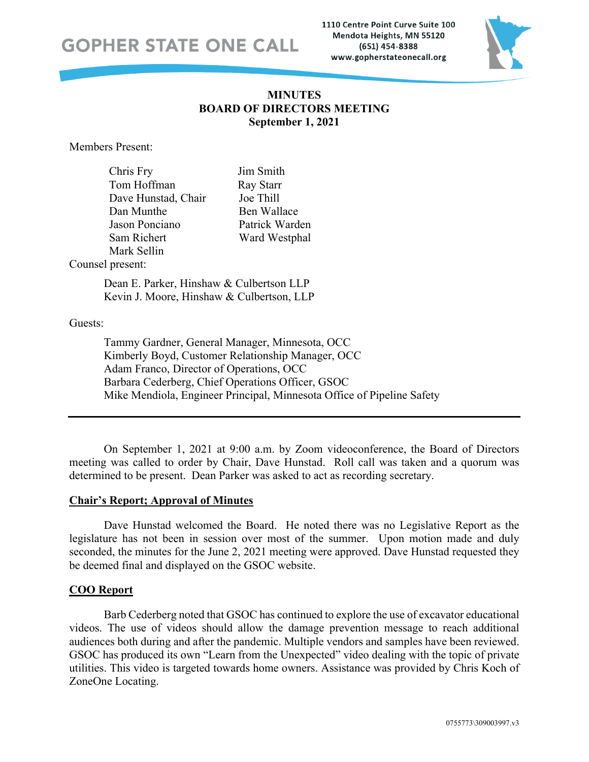1110 Centre Point Curve Suite 100 Mendota Heights, MN 55120 (651) 454-8388 www.gopherstateonecall.org



### **MINUTES BOARD OF DIRECTORS MEETING September 1, 2021**

Members Present:

| Chris Fry           | Jim Smith      |
|---------------------|----------------|
| Tom Hoffman         | Ray Starr      |
| Dave Hunstad, Chair | Joe Thill      |
| Dan Munthe          | Ben Wallace    |
| Jason Ponciano      | Patrick Warden |
| Sam Richert         | Ward Westphal  |
| Mark Sellin         |                |

Counsel present:

Dean E. Parker, Hinshaw & Culbertson LLP Kevin J. Moore, Hinshaw & Culbertson, LLP

Guests:

Tammy Gardner, General Manager, Minnesota, OCC Kimberly Boyd, Customer Relationship Manager, OCC Adam Franco, Director of Operations, OCC Barbara Cederberg, Chief Operations Officer, GSOC Mike Mendiola, Engineer Principal, Minnesota Office of Pipeline Safety

On September 1, 2021 at 9:00 a.m. by Zoom videoconference, the Board of Directors meeting was called to order by Chair, Dave Hunstad. Roll call was taken and a quorum was determined to be present. Dean Parker was asked to act as recording secretary.

### **Chair's Report; Approval of Minutes**

Dave Hunstad welcomed the Board. He noted there was no Legislative Report as the legislature has not been in session over most of the summer. Upon motion made and duly seconded, the minutes for the June 2, 2021 meeting were approved. Dave Hunstad requested they be deemed final and displayed on the GSOC website.

### **COO Report**

Barb Cederberg noted that GSOC has continued to explore the use of excavator educational videos. The use of videos should allow the damage prevention message to reach additional audiences both during and after the pandemic. Multiple vendors and samples have been reviewed. GSOC has produced its own "Learn from the Unexpected" video dealing with the topic of private utilities. This video is targeted towards home owners. Assistance was provided by Chris Koch of ZoneOne Locating.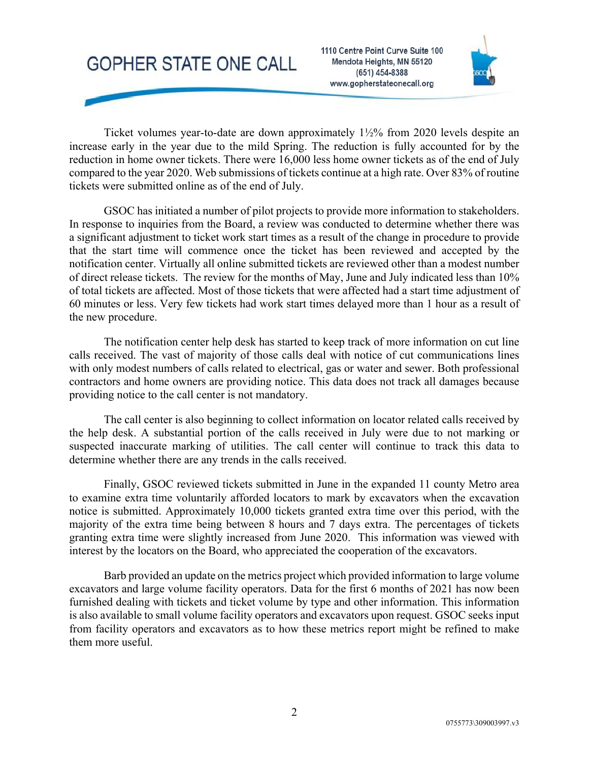1110 Centre Point Curve Suite 100 Mendota Heights, MN 55120 (651) 454-8388 www.gopherstateonecall.org



Ticket volumes year-to-date are down approximately 1½% from 2020 levels despite an increase early in the year due to the mild Spring. The reduction is fully accounted for by the reduction in home owner tickets. There were 16,000 less home owner tickets as of the end of July compared to the year 2020. Web submissions of tickets continue at a high rate. Over 83% of routine tickets were submitted online as of the end of July.

GSOC has initiated a number of pilot projects to provide more information to stakeholders. In response to inquiries from the Board, a review was conducted to determine whether there was a significant adjustment to ticket work start times as a result of the change in procedure to provide that the start time will commence once the ticket has been reviewed and accepted by the notification center. Virtually all online submitted tickets are reviewed other than a modest number of direct release tickets. The review for the months of May, June and July indicated less than 10% of total tickets are affected. Most of those tickets that were affected had a start time adjustment of 60 minutes or less. Very few tickets had work start times delayed more than 1 hour as a result of the new procedure.

The notification center help desk has started to keep track of more information on cut line calls received. The vast of majority of those calls deal with notice of cut communications lines with only modest numbers of calls related to electrical, gas or water and sewer. Both professional contractors and home owners are providing notice. This data does not track all damages because providing notice to the call center is not mandatory.

The call center is also beginning to collect information on locator related calls received by the help desk. A substantial portion of the calls received in July were due to not marking or suspected inaccurate marking of utilities. The call center will continue to track this data to determine whether there are any trends in the calls received.

Finally, GSOC reviewed tickets submitted in June in the expanded 11 county Metro area to examine extra time voluntarily afforded locators to mark by excavators when the excavation notice is submitted. Approximately 10,000 tickets granted extra time over this period, with the majority of the extra time being between 8 hours and 7 days extra. The percentages of tickets granting extra time were slightly increased from June 2020. This information was viewed with interest by the locators on the Board, who appreciated the cooperation of the excavators.

Barb provided an update on the metrics project which provided information to large volume excavators and large volume facility operators. Data for the first 6 months of 2021 has now been furnished dealing with tickets and ticket volume by type and other information. This information is also available to small volume facility operators and excavators upon request. GSOC seeks input from facility operators and excavators as to how these metrics report might be refined to make them more useful.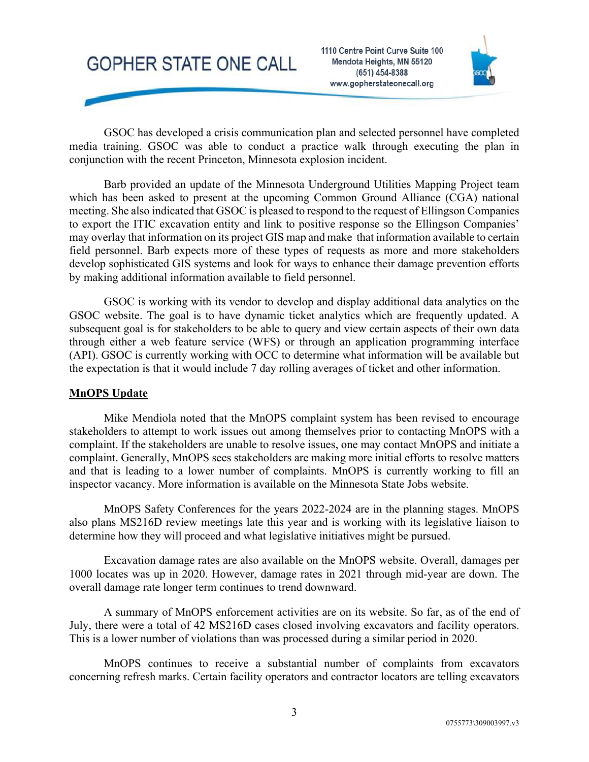



GSOC has developed a crisis communication plan and selected personnel have completed media training. GSOC was able to conduct a practice walk through executing the plan in conjunction with the recent Princeton, Minnesota explosion incident.

Barb provided an update of the Minnesota Underground Utilities Mapping Project team which has been asked to present at the upcoming Common Ground Alliance (CGA) national meeting. She also indicated that GSOC is pleased to respond to the request of Ellingson Companies to export the ITIC excavation entity and link to positive response so the Ellingson Companies' may overlay that information on its project GIS map and make that information available to certain field personnel. Barb expects more of these types of requests as more and more stakeholders develop sophisticated GIS systems and look for ways to enhance their damage prevention efforts by making additional information available to field personnel.

GSOC is working with its vendor to develop and display additional data analytics on the GSOC website. The goal is to have dynamic ticket analytics which are frequently updated. A subsequent goal is for stakeholders to be able to query and view certain aspects of their own data through either a web feature service (WFS) or through an application programming interface (API). GSOC is currently working with OCC to determine what information will be available but the expectation is that it would include 7 day rolling averages of ticket and other information.

### **MnOPS Update**

Mike Mendiola noted that the MnOPS complaint system has been revised to encourage stakeholders to attempt to work issues out among themselves prior to contacting MnOPS with a complaint. If the stakeholders are unable to resolve issues, one may contact MnOPS and initiate a complaint. Generally, MnOPS sees stakeholders are making more initial efforts to resolve matters and that is leading to a lower number of complaints. MnOPS is currently working to fill an inspector vacancy. More information is available on the Minnesota State Jobs website.

MnOPS Safety Conferences for the years 2022-2024 are in the planning stages. MnOPS also plans MS216D review meetings late this year and is working with its legislative liaison to determine how they will proceed and what legislative initiatives might be pursued.

Excavation damage rates are also available on the MnOPS website. Overall, damages per 1000 locates was up in 2020. However, damage rates in 2021 through mid-year are down. The overall damage rate longer term continues to trend downward.

A summary of MnOPS enforcement activities are on its website. So far, as of the end of July, there were a total of 42 MS216D cases closed involving excavators and facility operators. This is a lower number of violations than was processed during a similar period in 2020.

MnOPS continues to receive a substantial number of complaints from excavators concerning refresh marks. Certain facility operators and contractor locators are telling excavators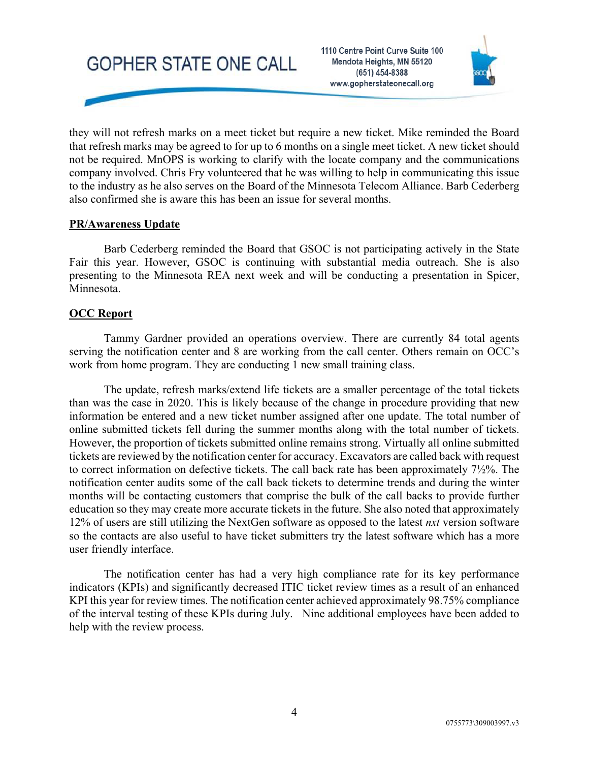1110 Centre Point Curve Suite 100 Mendota Heights, MN 55120 (651) 454-8388 www.gopherstateonecall.org



they will not refresh marks on a meet ticket but require a new ticket. Mike reminded the Board that refresh marks may be agreed to for up to 6 months on a single meet ticket. A new ticket should not be required. MnOPS is working to clarify with the locate company and the communications company involved. Chris Fry volunteered that he was willing to help in communicating this issue to the industry as he also serves on the Board of the Minnesota Telecom Alliance. Barb Cederberg also confirmed she is aware this has been an issue for several months.

#### **PR/Awareness Update**

Barb Cederberg reminded the Board that GSOC is not participating actively in the State Fair this year. However, GSOC is continuing with substantial media outreach. She is also presenting to the Minnesota REA next week and will be conducting a presentation in Spicer, Minnesota.

#### **OCC Report**

Tammy Gardner provided an operations overview. There are currently 84 total agents serving the notification center and 8 are working from the call center. Others remain on OCC's work from home program. They are conducting 1 new small training class.

The update, refresh marks/extend life tickets are a smaller percentage of the total tickets than was the case in 2020. This is likely because of the change in procedure providing that new information be entered and a new ticket number assigned after one update. The total number of online submitted tickets fell during the summer months along with the total number of tickets. However, the proportion of tickets submitted online remains strong. Virtually all online submitted tickets are reviewed by the notification center for accuracy. Excavators are called back with request to correct information on defective tickets. The call back rate has been approximately 7½%. The notification center audits some of the call back tickets to determine trends and during the winter months will be contacting customers that comprise the bulk of the call backs to provide further education so they may create more accurate tickets in the future. She also noted that approximately 12% of users are still utilizing the NextGen software as opposed to the latest *nxt* version software so the contacts are also useful to have ticket submitters try the latest software which has a more user friendly interface.

The notification center has had a very high compliance rate for its key performance indicators (KPIs) and significantly decreased ITIC ticket review times as a result of an enhanced KPI this year for review times. The notification center achieved approximately 98.75% compliance of the interval testing of these KPIs during July. Nine additional employees have been added to help with the review process.